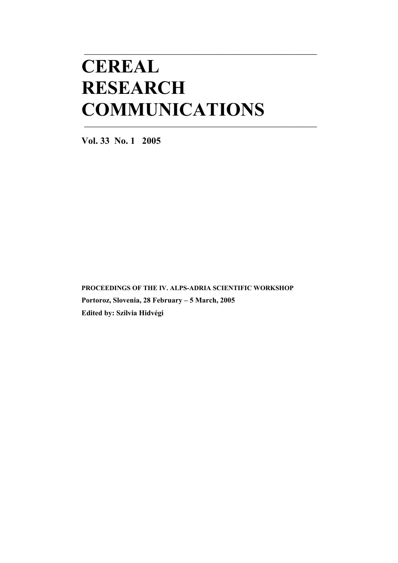# **CEREAL RESEARCH COMMUNICATIONS**

**\_\_\_\_\_\_\_\_\_\_\_\_\_\_\_\_\_\_\_\_\_\_\_\_\_\_\_\_\_\_\_\_\_\_\_\_\_\_\_\_\_\_\_\_\_\_\_\_\_\_\_\_\_\_\_\_\_\_\_\_\_\_\_\_\_\_\_\_\_** 

**\_\_\_\_\_\_\_\_\_\_\_\_\_\_\_\_\_\_\_\_\_\_\_\_\_\_\_\_\_\_\_\_\_\_\_\_\_\_\_\_\_\_\_\_\_\_\_\_\_\_\_\_\_\_\_\_\_\_\_\_\_\_\_\_\_\_\_\_\_** 

**Vol. 33 No. 1 2005** 

**PROCEEDINGS OF THE IV. ALPS-ADRIA SCIENTIFIC WORKSHOP Portoroz, Slovenia, 28 February – 5 March, 2005 Edited by: Szilvia Hidvégi**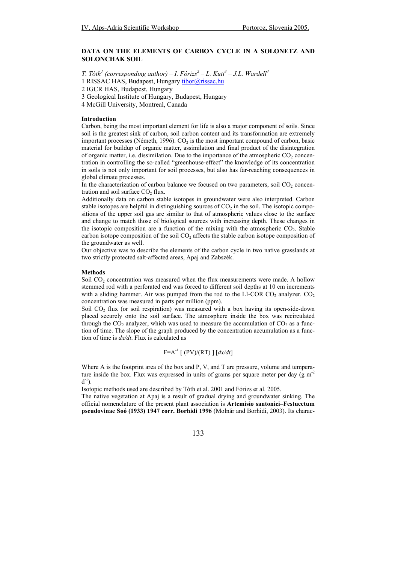## **DATA ON THE ELEMENTS OF CARBON CYCLE IN A SOLONETZ AND SOLONCHAK SOIL**

*T. Tóth<sup>1</sup> (corresponding author) – I. Fórizs<sup>2</sup> – L. Kuti<sup>3</sup> – J.L. Wardell<sup>4</sup>* 

1 RISSAC HAS, Budapest, Hungary tibor@rissac.hu

2 IGCR HAS, Budapest, Hungary

3 Geological Institute of Hungary, Budapest, Hungary

4 McGill University, Montreal, Canada

#### **Introduction**

Carbon, being the most important element for life is also a major component of soils. Since soil is the greatest sink of carbon, soil carbon content and its transformation are extremely important processes (Németh, 1996).  $CO<sub>2</sub>$  is the most important compound of carbon, basic material for buildup of organic matter, assimilation and final product of the disintegration of organic matter, i.e. dissimilation. Due to the importance of the atmospheric  $CO<sub>2</sub>$  concentration in controlling the so-called "greenhouse-effect" the knowledge of its concentration in soils is not only important for soil processes, but also has far-reaching consequences in global climate processes.

In the characterization of carbon balance we focused on two parameters, soil  $CO<sub>2</sub>$  concentration and soil surface  $CO<sub>2</sub>$  flux.

Additionally data on carbon stable isotopes in groundwater were also interpreted. Carbon stable isotopes are helpful in distinguishing sources of  $CO<sub>2</sub>$  in the soil. The isotopic compositions of the upper soil gas are similar to that of atmospheric values close to the surface and change to match those of biological sources with increasing depth. These changes in the isotopic composition are a function of the mixing with the atmospheric  $CO<sub>2</sub>$ . Stable carbon isotope composition of the soil  $CO<sub>2</sub>$  affects the stable carbon isotope composition of the groundwater as well.

Our objective was to describe the elements of the carbon cycle in two native grasslands at two strictly protected salt-affected areas, Apaj and Zabszék.

#### **Methods**

Soil CO<sub>2</sub> concentration was measured when the flux measurements were made. A hollow stemmed rod with a perforated end was forced to different soil depths at 10 cm increments with a sliding hammer. Air was pumped from the rod to the LI-COR  $CO_2$  analyzer.  $CO_2$ concentration was measured in parts per million (ppm).

Soil  $CO<sub>2</sub>$  flux (or soil respiration) was measured with a box having its open-side-down placed securely onto the soil surface. The atmosphere inside the box was recirculated through the  $CO_2$  analyzer, which was used to measure the accumulation of  $CO_2$  as a function of time. The slope of the graph produced by the concentration accumulation as a function of time is *dx/dt*. Flux is calculated as

$$
F = A^{-1} [ (PV)/(RT) ] [dx/dt]
$$

Where A is the footprint area of the box and P, V, and T are pressure, volume and temperature inside the box. Flux was expressed in units of grams per square meter per day  $(g m^2)$  $d^{-1}$ ).

Isotopic methods used are described by Tóth et al. 2001 and Fórizs et al. 2005.

The native vegetation at Apaj is a result of gradual drying and groundwater sinking. The official nomenclature of the present plant association is **Artemisio santonici–Festucetum pseudovinae Soó (1933) 1947 corr. Borhidi 1996** (Molnár and Borhidi, 2003). Its charac-

## 133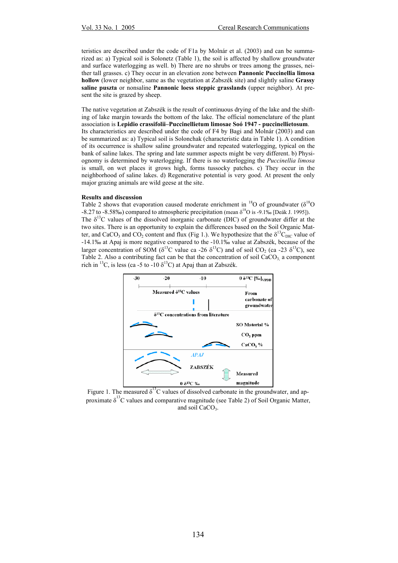teristics are described under the code of F1a by Molnár et al. (2003) and can be summarized as: a) Typical soil is Solonetz (Table 1), the soil is affected by shallow groundwater and surface waterlogging as well. b) There are no shrubs or trees among the grasses, neither tall grasses. c) They occur in an elevation zone between **Pannonic Puccinellia limosa hollow** (lower neighbor, same as the vegetation at Zabszék site) and slightly saline **Grassy saline puszta** or nonsaline **Pannonic loess steppic grasslands** (upper neighbor). At present the site is grazed by sheep.

The native vegetation at Zabszék is the result of continuous drying of the lake and the shifting of lake margin towards the bottom of the lake. The official nomenclature of the plant association is **Lepidio crassifolii–Puccinellietum limosae Soó 1947 - puccinellietosum**. Its characteristics are described under the code of F4 by Bagi and Molnár (2003) and can be summarized as: a) Typical soil is Solonchak (characteristic data in Table 1). A condition of its occurrence is shallow saline groundwater and repeated waterlogging, typical on the bank of saline lakes. The spring and late summer aspects might be very different. b) Physiognomy is determined by waterlogging. If there is no waterlogging the *Puccinellia limosa* is small, on wet places it grows high, forms tussocky patches. c) They occur in the neighborhood of saline lakes. d) Regenerative potential is very good. At present the only major grazing animals are wild geese at the site.

### **Results and discussion**

Table 2 shows that evaporation caused moderate enrichment in  $^{18}$ O of groundwater ( $\delta^{18}$ O  $-8.27$  to  $-8.58\%$ ) compared to atmospheric precipitation (mean  $\delta^{18}$ O is  $-9.1\%$  [Deák J. 1995]). The  $\delta^{13}$ C values of the dissolved inorganic carbonate (DIC) of groundwater differ at the two sites. There is an opportunity to explain the differences based on the Soil Organic Matter, and CaCO<sub>3</sub> and CO<sub>2</sub> content and flux (Fig 1.). We hypothesize that the  $\delta^{13}C_{\text{DIC}}$  value of -14.1‰ at Apaj is more negative compared to the -10.1‰ value at Zabszék, because of the larger concentration of SOM ( $\delta^{13}$ C value ca -26  $\delta^{13}$ C) and of soil CO<sub>2</sub> (ca -23  $\delta^{13}$ C), see Table 2. Also a contributing fact can be that the concentration of soil  $CaCO<sub>3</sub>$  a component rich in <sup>13</sup>C, is less (ca -5 to -10  $\delta$ <sup>13</sup>C) at Apaj than at Zabszék.



Figure 1. The measured  $\delta^{13}$ C values of dissolved carbonate in the groundwater, and approximate  $\delta^{13}$ C values and comparative magnitude (see Table 2) of Soil Organic Matter, and soil CaCO<sub>3</sub>.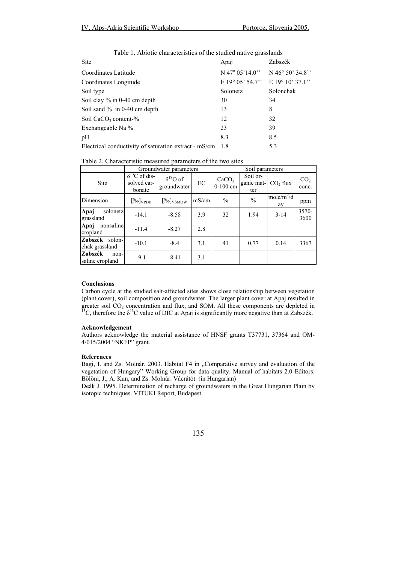| Site                                                  | Apaj                            | Zabszék         |
|-------------------------------------------------------|---------------------------------|-----------------|
| Coordinates Latitude                                  | $N$ 47 $\degree$ 05'14.0"       | N 46° 50' 34.8" |
| Coordinates Longitude                                 | E 19° 05' 54.7" E 19° 10' 37.1" |                 |
| Soil type                                             | Solonetz                        | Solonchak       |
| Soil clay $\%$ in 0-40 cm depth                       | 30                              | 34              |
| Soil sand $\%$ in 0-40 cm depth                       | 13                              | 8               |
| Soil $CaCO3$ content-%                                | 12                              | 32              |
| Exchangeable Na %                                     | 23                              | 39              |
| pH                                                    | 8.3                             | 8.5             |
| Electrical conductivity of saturation extract - mS/cm | -1.8                            | 5.3             |

| Table 1. Abiotic characteristics of the studied native grasslands |  |  |
|-------------------------------------------------------------------|--|--|
|-------------------------------------------------------------------|--|--|

|                                      | Groundwater parameters                           |                                  |       | Soil parameters                 |                               |                                |                          |
|--------------------------------------|--------------------------------------------------|----------------------------------|-------|---------------------------------|-------------------------------|--------------------------------|--------------------------|
| Site                                 | $\delta^{13}$ C of dis-<br>solved car-<br>bonate | $\delta^{18}O$ of<br>groundwater | EC    | CaCO <sub>3</sub><br>$0-100$ cm | Soil or-<br>ganic mat-<br>ter | CO <sub>2</sub> flux           | CO <sub>2</sub><br>conc. |
| Dimension                            | $[\%o]_{\mathrm{VPDB}}$                          | $[\%o]_{VSMOW}$                  | mS/cm | $\frac{0}{0}$                   | $\frac{0}{0}$                 | mole/ $\overline{m^2/d}$<br>ay | ppm                      |
| Apaj<br>solonetz<br>grassland        | $-14.1$                                          | $-8.58$                          | 3.9   | 32                              | 1.94                          | $3 - 14$                       | 3570-<br>3600            |
| nonsaline<br>Apaj<br>cropland        | $-11.4$                                          | $-8.27$                          | 2.8   |                                 |                               |                                |                          |
| Zabszék<br>solon-<br>chak grassland  | $-10.1$                                          | $-8.4$                           | 3.1   | 41                              | 0.77                          | 0.14                           | 3367                     |
| Zabszék<br>$non-$<br>saline cropland | $-9.1$                                           | $-8.41$                          | 3.1   |                                 |                               |                                |                          |

# **Conclusions**

Carbon cycle at the studied salt-affected sites shows close relationship between vegetation (plant cover), soil composition and groundwater. The larger plant cover at Apaj resulted in greater soil CO<sub>2</sub> concentration and flux, and SOM. All these components are depleted in <sup>13</sup>C, therefore the  $\delta$ <sup>13</sup>C value of DIC at Apaj is significantly more negative than at Zabszék.

## **Acknowledgement**

Authors acknowledge the material assistance of HNSF grants T37731, 37364 and OM-4/015/2004 "NKFP" grant.

## **References**

Bagi, I. and Zs. Molnár. 2003. Habitat F4 in "Comparative survey and evaluation of the vegetation of Hungary" Working Group for data quality. Manual of habitats 2.0 Editors: Bölöni, J., A. Kun, and Zs. Molnár. Vácrátót. (in Hungarian)

Deák J. 1995. Determination of recharge of groundwaters in the Great Hungarian Plain by isotopic techniques. VITUKI Report, Budapest.

# 135